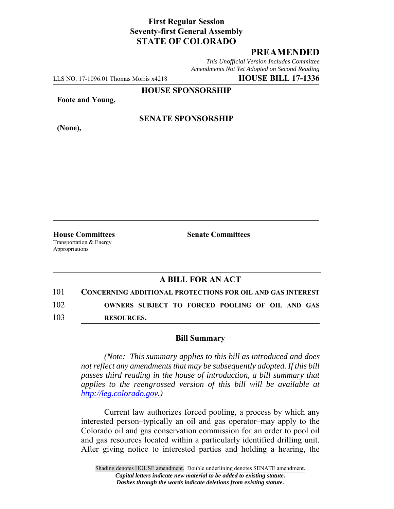# **First Regular Session Seventy-first General Assembly STATE OF COLORADO**

# **PREAMENDED**

*This Unofficial Version Includes Committee Amendments Not Yet Adopted on Second Reading*

LLS NO. 17-1096.01 Thomas Morris x4218 **HOUSE BILL 17-1336**

**HOUSE SPONSORSHIP**

**Foote and Young,**

**(None),**

### **SENATE SPONSORSHIP**

**House Committees Senate Committees** Transportation & Energy Appropriations

### **A BILL FOR AN ACT**

101 **CONCERNING ADDITIONAL PROTECTIONS FOR OIL AND GAS INTEREST** 102 **OWNERS SUBJECT TO FORCED POOLING OF OIL AND GAS** 103 **RESOURCES.**

#### **Bill Summary**

*(Note: This summary applies to this bill as introduced and does not reflect any amendments that may be subsequently adopted. If this bill passes third reading in the house of introduction, a bill summary that applies to the reengrossed version of this bill will be available at http://leg.colorado.gov.)*

Current law authorizes forced pooling, a process by which any interested person–typically an oil and gas operator–may apply to the Colorado oil and gas conservation commission for an order to pool oil and gas resources located within a particularly identified drilling unit. After giving notice to interested parties and holding a hearing, the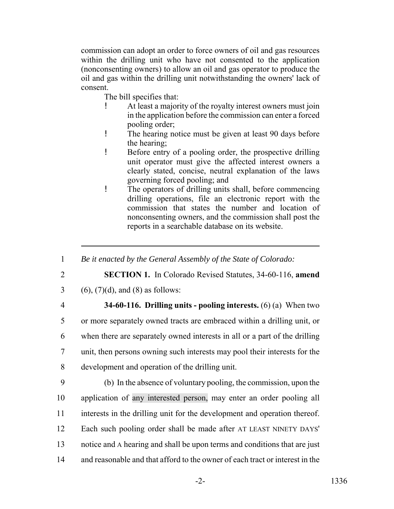commission can adopt an order to force owners of oil and gas resources within the drilling unit who have not consented to the application (nonconsenting owners) to allow an oil and gas operator to produce the oil and gas within the drilling unit notwithstanding the owners' lack of consent.

The bill specifies that:

- ! At least a majority of the royalty interest owners must join in the application before the commission can enter a forced pooling order;
- ! The hearing notice must be given at least 90 days before the hearing;
- ! Before entry of a pooling order, the prospective drilling unit operator must give the affected interest owners a clearly stated, concise, neutral explanation of the laws governing forced pooling; and
- ! The operators of drilling units shall, before commencing drilling operations, file an electronic report with the commission that states the number and location of nonconsenting owners, and the commission shall post the reports in a searchable database on its website.
- 1 *Be it enacted by the General Assembly of the State of Colorado:*
- 

2 **SECTION 1.** In Colorado Revised Statutes, 34-60-116, **amend**

- 3 (6),  $(7)(d)$ , and (8) as follows:
- 

 **34-60-116. Drilling units - pooling interests.** (6) (a) When two or more separately owned tracts are embraced within a drilling unit, or when there are separately owned interests in all or a part of the drilling unit, then persons owning such interests may pool their interests for the development and operation of the drilling unit.

 (b) In the absence of voluntary pooling, the commission, upon the application of any interested person, may enter an order pooling all interests in the drilling unit for the development and operation thereof. Each such pooling order shall be made after AT LEAST NINETY DAYS' notice and A hearing and shall be upon terms and conditions that are just and reasonable and that afford to the owner of each tract or interest in the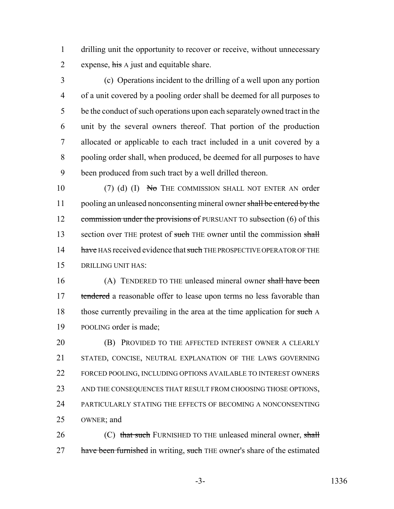1 drilling unit the opportunity to recover or receive, without unnecessary 2 expense, his A just and equitable share.

 (c) Operations incident to the drilling of a well upon any portion of a unit covered by a pooling order shall be deemed for all purposes to be the conduct of such operations upon each separately owned tract in the unit by the several owners thereof. That portion of the production allocated or applicable to each tract included in a unit covered by a pooling order shall, when produced, be deemed for all purposes to have been produced from such tract by a well drilled thereon.

10 (7) (d) (I) No THE COMMISSION SHALL NOT ENTER AN order 11 pooling an unleased nonconsenting mineral owner shall be entered by the 12 commission under the provisions of PURSUANT TO subsection (6) of this 13 section over THE protest of such THE owner until the commission shall 14 have HAS received evidence that such THE PROSPECTIVE OPERATOR OF THE 15 DRILLING UNIT HAS:

16 (A) TENDERED TO THE unleased mineral owner shall have been 17 tendered a reasonable offer to lease upon terms no less favorable than 18 those currently prevailing in the area at the time application for such A 19 POOLING order is made;

**(B) PROVIDED TO THE AFFECTED INTEREST OWNER A CLEARLY**  STATED, CONCISE, NEUTRAL EXPLANATION OF THE LAWS GOVERNING FORCED POOLING, INCLUDING OPTIONS AVAILABLE TO INTEREST OWNERS AND THE CONSEQUENCES THAT RESULT FROM CHOOSING THOSE OPTIONS, PARTICULARLY STATING THE EFFECTS OF BECOMING A NONCONSENTING OWNER; and

26 (C) that such FURNISHED TO THE unleased mineral owner, shall 27 have been furnished in writing, such THE owner's share of the estimated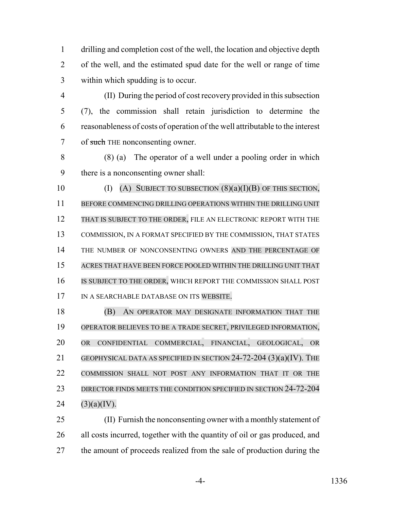drilling and completion cost of the well, the location and objective depth of the well, and the estimated spud date for the well or range of time within which spudding is to occur.

 (II) During the period of cost recovery provided in this subsection (7), the commission shall retain jurisdiction to determine the reasonableness of costs of operation of the well attributable to the interest 7 of such THE nonconsenting owner.

 (8) (a) The operator of a well under a pooling order in which there is a nonconsenting owner shall:

 $(I)$  (A) SUBJECT TO SUBSECTION  $(8)(a)(I)(B)$  OF THIS SECTION, BEFORE COMMENCING DRILLING OPERATIONS WITHIN THE DRILLING UNIT THAT IS SUBJECT TO THE ORDER, FILE AN ELECTRONIC REPORT WITH THE COMMISSION, IN A FORMAT SPECIFIED BY THE COMMISSION, THAT STATES 14 THE NUMBER OF NONCONSENTING OWNERS AND THE PERCENTAGE OF ACRES THAT HAVE BEEN FORCE POOLED WITHIN THE DRILLING UNIT THAT IS SUBJECT TO THE ORDER, WHICH REPORT THE COMMISSION SHALL POST IN A SEARCHABLE DATABASE ON ITS WEBSITE.

 (B) AN OPERATOR MAY DESIGNATE INFORMATION THAT THE OPERATOR BELIEVES TO BE A TRADE SECRET, PRIVILEGED INFORMATION, OR CONFIDENTIAL COMMERCIAL, FINANCIAL, GEOLOGICAL, OR GEOPHYSICAL DATA AS SPECIFIED IN SECTION 24-72-204 (3)(a)(IV). THE COMMISSION SHALL NOT POST ANY INFORMATION THAT IT OR THE 23 DIRECTOR FINDS MEETS THE CONDITION SPECIFIED IN SECTION 24-72-204  $(3)(a)(IV)$ .

 (II) Furnish the nonconsenting owner with a monthly statement of all costs incurred, together with the quantity of oil or gas produced, and 27 the amount of proceeds realized from the sale of production during the